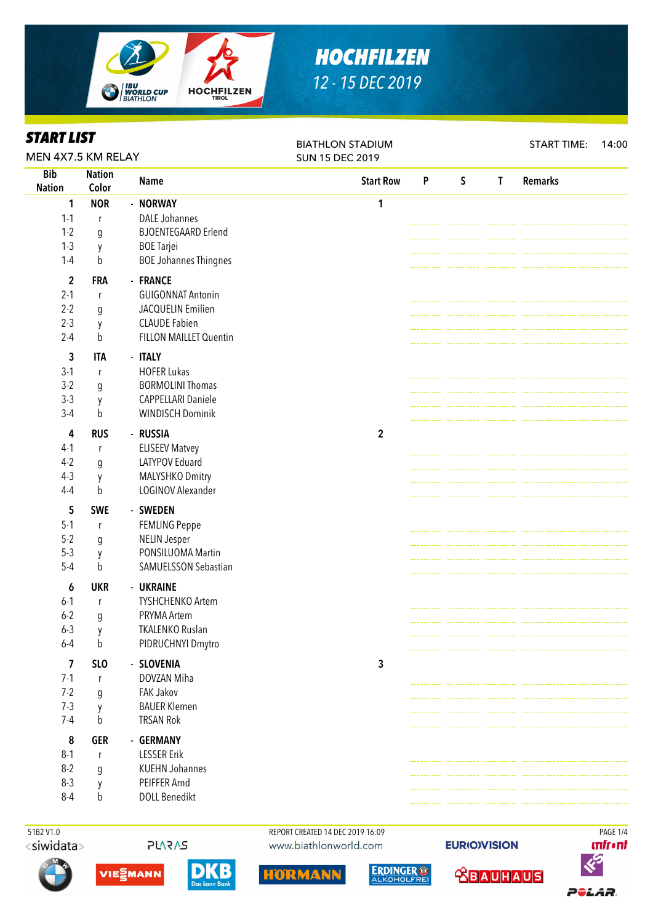

## *HOCHFILZEN 12 - 15 DEC 2019*

| Jihai Liji<br>MEN 4X7.5 KM RELAY |                        |                              | <b>BIATHLON STADIUM</b><br><b>SUN 15 DEC 2019</b> |   |             |   | <b>START TIME:</b><br>14:00 |  |  |
|----------------------------------|------------------------|------------------------------|---------------------------------------------------|---|-------------|---|-----------------------------|--|--|
| <b>Bib</b><br><b>Nation</b>      | <b>Nation</b><br>Color | <b>Name</b>                  | <b>Start Row</b>                                  | P | $\mathsf S$ | T | <b>Remarks</b>              |  |  |
| 1                                | <b>NOR</b>             | - NORWAY                     | 1                                                 |   |             |   |                             |  |  |
| $1 - 1$                          | r                      | <b>DALE Johannes</b>         |                                                   |   |             |   |                             |  |  |
| $1-2$                            | g                      | <b>BJOENTEGAARD Erlend</b>   |                                                   |   |             |   |                             |  |  |
| $1-3$                            | y                      | <b>BOE</b> Tarjei            |                                                   |   |             |   |                             |  |  |
| $1 - 4$                          | b                      | <b>BOE Johannes Thingnes</b> |                                                   |   |             |   |                             |  |  |
| $\overline{2}$                   | <b>FRA</b>             | - FRANCE                     |                                                   |   |             |   |                             |  |  |
| $2 - 1$                          | r                      | <b>GUIGONNAT Antonin</b>     |                                                   |   |             |   |                             |  |  |
| $2 - 2$                          | g                      | JACQUELIN Emilien            |                                                   |   |             |   |                             |  |  |
| $2-3$                            | y                      | <b>CLAUDE Fabien</b>         |                                                   |   |             |   |                             |  |  |
| $2 - 4$                          | $\mathsf b$            | FILLON MAILLET Quentin       |                                                   |   |             |   |                             |  |  |
| 3                                | <b>ITA</b>             | - ITALY                      |                                                   |   |             |   |                             |  |  |
| $3-1$                            | $\mathsf{r}$           | <b>HOFER Lukas</b>           |                                                   |   |             |   |                             |  |  |
| $3-2$                            | g                      | <b>BORMOLINI Thomas</b>      |                                                   |   |             |   |                             |  |  |
| $3-3$                            | y                      | CAPPELLARI Daniele           |                                                   |   |             |   |                             |  |  |
| $3-4$                            | $\mathsf b$            | <b>WINDISCH Dominik</b>      |                                                   |   |             |   |                             |  |  |
| 4                                | <b>RUS</b>             | - RUSSIA                     | $\boldsymbol{2}$                                  |   |             |   |                             |  |  |
| $4-1$                            | r                      | <b>ELISEEV Matvey</b>        |                                                   |   |             |   |                             |  |  |
| $4-2$                            | g                      | LATYPOV Eduard               |                                                   |   |             |   |                             |  |  |
| $4-3$                            | y                      | MALYSHKO Dmitry              |                                                   |   |             |   |                             |  |  |
| $4 - 4$                          | b                      | LOGINOV Alexander            |                                                   |   |             |   |                             |  |  |
| 5                                | <b>SWE</b>             | - SWEDEN                     |                                                   |   |             |   |                             |  |  |
| $5-1$                            | r                      | <b>FEMLING Peppe</b>         |                                                   |   |             |   |                             |  |  |
| $5 - 2$                          | g                      | <b>NELIN Jesper</b>          |                                                   |   |             |   |                             |  |  |
| $5-3$                            | y                      | PONSILUOMA Martin            |                                                   |   |             |   |                             |  |  |
| $5-4$                            | $\mathsf b$            | SAMUELSSON Sebastian         |                                                   |   |             |   |                             |  |  |
| 6                                | <b>UKR</b>             | - UKRAINE                    |                                                   |   |             |   |                             |  |  |
| $6 - 1$                          | r                      | <b>TYSHCHENKO Artem</b>      |                                                   |   |             |   |                             |  |  |
| $6 - 2$                          | g                      | PRYMA Artem                  |                                                   |   |             |   |                             |  |  |
| $6 - 3$                          | y                      | <b>TKALENKO Ruslan</b>       |                                                   |   |             |   |                             |  |  |
| $6 - 4$                          | b                      | PIDRUCHNYI Dmytro            |                                                   |   |             |   |                             |  |  |
| $\overline{\mathbf{z}}$          | <b>SLO</b>             | - SLOVENIA                   | $\mathbf{3}$                                      |   |             |   |                             |  |  |
| $7-1$                            | r                      | DOVZAN Miha                  |                                                   |   |             |   |                             |  |  |
| $7-2$                            | g                      | FAK Jakov                    |                                                   |   |             |   |                             |  |  |
| $7-3$                            | y                      | <b>BAUER Klemen</b>          |                                                   |   |             |   |                             |  |  |
| $7-4$                            | b                      | <b>TRSAN Rok</b>             |                                                   |   |             |   |                             |  |  |
| 8                                | <b>GER</b>             | - GERMANY                    |                                                   |   |             |   |                             |  |  |
| $8-1$                            | $\mathsf{r}$           | <b>LESSER Erik</b>           |                                                   |   |             |   |                             |  |  |
| $8-2$                            | g                      | <b>KUEHN Johannes</b>        |                                                   |   |             |   |                             |  |  |
| $8 - 3$                          | y                      | PEIFFER Arnd                 |                                                   |   |             |   |                             |  |  |
| $8 - 4$                          | b                      | DOLL Benedikt                |                                                   |   |             |   |                             |  |  |
|                                  |                        |                              |                                                   |   |             |   |                             |  |  |

*START LIST*

<siwidata>



 51B2 V1.0 REPORT CREATED 14 DEC 2019 16:09 PAGE 1/4www.biathlonworld.com





**EURIOVISION** 

**SBAUHAUS** 

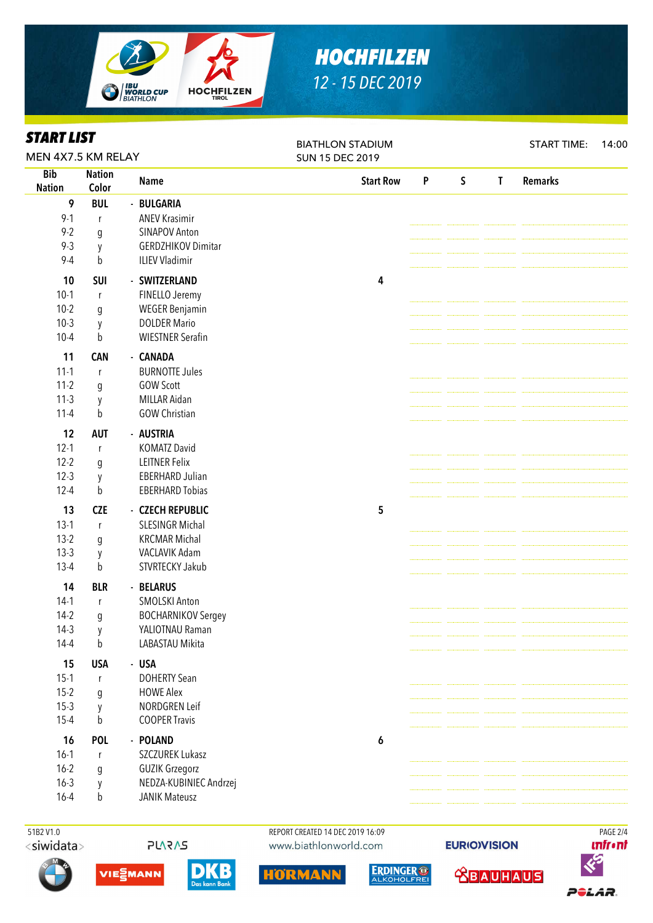

## *HOCHFILZEN 12 - 15 DEC 2019*

BIATHLON STADIUM SUN 15 DEC 2019

|                      | <i><b>START LIST</b></i><br>MEN 4X7.5 KM RELAY |      |
|----------------------|------------------------------------------------|------|
|                      |                                                |      |
| Bib<br><b>Nation</b> | <b>Nation</b><br>Color                         | Name |

| 'n               | Color      | <b>Name</b>                       | <b>Start Row</b> | P | S | T. | <b>Remarks</b> |  |
|------------------|------------|-----------------------------------|------------------|---|---|----|----------------|--|
| 9                | <b>BUL</b> | - BULGARIA                        |                  |   |   |    |                |  |
| $9 - 1$          | r          | <b>ANEV Krasimir</b>              |                  |   |   |    |                |  |
| $9 - 2$          | g          | <b>SINAPOV Anton</b>              |                  |   |   |    |                |  |
| $9 - 3$          | y          | <b>GERDZHIKOV Dimitar</b>         |                  |   |   |    |                |  |
| $9-4$            | b          | <b>ILIEV Vladimir</b>             |                  |   |   |    |                |  |
| 10               | <b>SUI</b> | - SWITZERLAND                     | 4                |   |   |    |                |  |
| $10-1$           | r          | FINELLO Jeremy                    |                  |   |   |    |                |  |
| $10-2$           | g          | <b>WEGER Benjamin</b>             |                  |   |   |    |                |  |
| $10-3$           | y          | <b>DOLDER Mario</b>               |                  |   |   |    |                |  |
| $10-4$           | b          | <b>WIESTNER Serafin</b>           |                  |   |   |    |                |  |
| 11               | <b>CAN</b> | - CANADA                          |                  |   |   |    |                |  |
| $11-1$           | r          | <b>BURNOTTE Jules</b>             |                  |   |   |    |                |  |
| $11-2$           | g          | <b>GOW Scott</b>                  |                  |   |   |    |                |  |
| $11-3$           | y          | <b>MILLAR Aidan</b>               |                  |   |   |    |                |  |
| $11 - 4$         | b          | <b>GOW Christian</b>              |                  |   |   |    |                |  |
| 12               | <b>AUT</b> | - AUSTRIA                         |                  |   |   |    |                |  |
| $12-1$           | r          | <b>KOMATZ David</b>               |                  |   |   |    |                |  |
| $12-2$           | g          | <b>LEITNER Felix</b>              |                  |   |   |    |                |  |
| $12-3$           | y          | <b>EBERHARD Julian</b>            |                  |   |   |    |                |  |
| $12 - 4$         | b          | <b>EBERHARD Tobias</b>            |                  |   |   |    |                |  |
| 13               | <b>CZE</b> | - CZECH REPUBLIC                  | 5                |   |   |    |                |  |
| $13-1$           | r          | <b>SLESINGR Michal</b>            |                  |   |   |    |                |  |
| $13-2$           | g          | <b>KRCMAR Michal</b>              |                  |   |   |    |                |  |
| $13-3$           | у          | VACLAVIK Adam                     |                  |   |   |    |                |  |
| $13-4$           | b          | STVRTECKY Jakub                   |                  |   |   |    |                |  |
|                  |            |                                   |                  |   |   |    |                |  |
| 14<br>14-1       | <b>BLR</b> | - BELARUS<br><b>SMOLSKI Anton</b> |                  |   |   |    |                |  |
| $14-2$           | r          | <b>BOCHARNIKOV Sergey</b>         |                  |   |   |    |                |  |
| 14-3             | g<br>y     | YALIOTNAU Raman                   |                  |   |   |    |                |  |
| 14-4             | b          | LABASTAU Mikita                   |                  |   |   |    |                |  |
|                  |            |                                   |                  |   |   |    |                |  |
| 15               | <b>USA</b> | - USA                             |                  |   |   |    |                |  |
| $15-1$           | r          | <b>DOHERTY Sean</b>               |                  |   |   |    |                |  |
| $15-2$<br>$15-3$ | g          | <b>HOWE Alex</b><br>NORDGREN Leif |                  |   |   |    |                |  |
| $15-4$           | y<br>b     | <b>COOPER Travis</b>              |                  |   |   |    |                |  |
|                  |            |                                   |                  |   |   |    |                |  |
| 16               | <b>POL</b> | - POLAND                          | 6                |   |   |    |                |  |
| $16-1$           | r          | <b>SZCZUREK Lukasz</b>            |                  |   |   |    |                |  |
| $16-2$           | g          | <b>GUZIK Grzegorz</b>             |                  |   |   |    |                |  |

- 16-3 y NEDZA-KUBINIEC Andrzej 16-4 b JANIK Mateusz
- <siwidata>





 51B2 V1.0 REPORT CREATED 14 DEC 2019 16:09 PAGE 2/4www.biathlonworld.com

HORMANN



**EURIOVISION** 

*<u><u>Infront</u>*</u>



START TIME: 14:00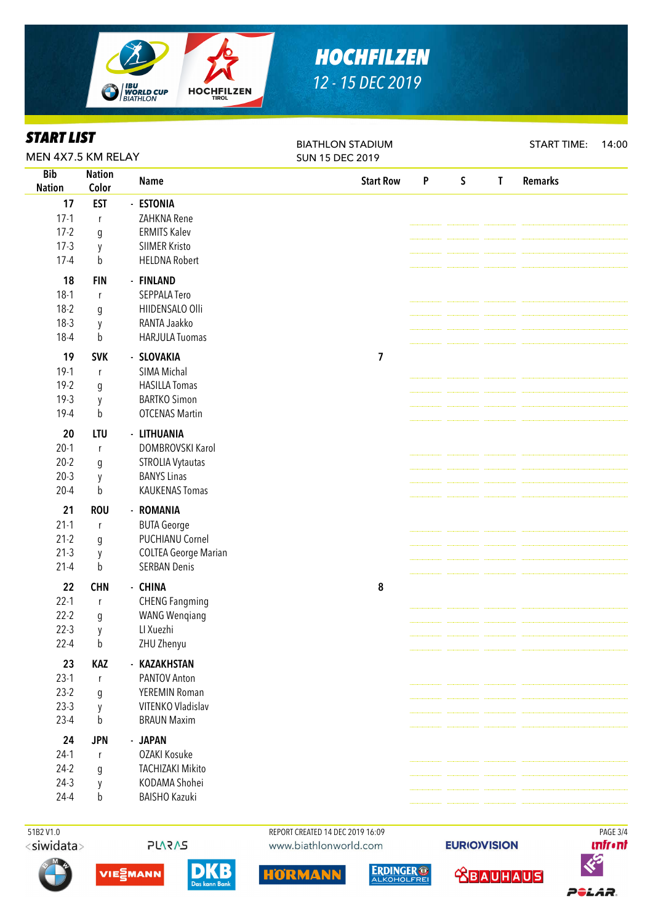

*START LIST*

## *HOCHFILZEN 12 - 15 DEC 2019*

| ЭІАКІ НЭІ<br>MEN 4X7.5 KM RELAY |                        | <b>BIATHLON STADIUM</b><br><b>SUN 15 DEC 2019</b>  |                                  |  |   |             | <b>START TIME:</b><br>14:00 |                |          |
|---------------------------------|------------------------|----------------------------------------------------|----------------------------------|--|---|-------------|-----------------------------|----------------|----------|
| <b>Bib</b><br><b>Nation</b>     | <b>Nation</b><br>Color | <b>Name</b>                                        | <b>Start Row</b>                 |  | P | $\mathsf S$ | $\mathbf{T}$                | <b>Remarks</b> |          |
| 17                              | <b>EST</b>             | - ESTONIA                                          |                                  |  |   |             |                             |                |          |
| $17-1$                          | $\mathsf{r}$           | ZAHKNA Rene                                        |                                  |  |   |             |                             |                |          |
| $17-2$                          | g                      | <b>ERMITS Kalev</b>                                |                                  |  |   |             |                             |                |          |
| $17-3$                          | y                      | <b>SIIMER Kristo</b>                               |                                  |  |   |             |                             |                |          |
| $17-4$                          | b                      | <b>HELDNA Robert</b>                               |                                  |  |   |             |                             |                |          |
| 18                              | <b>FIN</b>             | - FINLAND                                          |                                  |  |   |             |                             |                |          |
| $18-1$                          | $\mathsf{r}$           | SEPPALA Tero                                       |                                  |  |   |             |                             |                |          |
| $18-2$                          | g                      | HIIDENSALO Olli                                    |                                  |  |   |             |                             |                |          |
| $18-3$                          | y                      | RANTA Jaakko                                       |                                  |  |   |             |                             |                |          |
| 18-4                            | b                      | <b>HARJULA Tuomas</b>                              |                                  |  |   |             |                             |                |          |
| 19                              | <b>SVK</b>             | - SLOVAKIA                                         | $\overline{\mathbf{z}}$          |  |   |             |                             |                |          |
| $19-1$                          | $\mathsf{r}$           | SIMA Michal                                        |                                  |  |   |             |                             |                |          |
| $19-2$                          | g                      | <b>HASILLA Tomas</b>                               |                                  |  |   |             |                             |                |          |
| $19-3$                          | y                      | <b>BARTKO Simon</b>                                |                                  |  |   |             |                             |                |          |
| 19-4                            | $\mathsf b$            | <b>OTCENAS Martin</b>                              |                                  |  |   |             |                             |                |          |
| 20                              | <b>LTU</b>             | - LITHUANIA                                        |                                  |  |   |             |                             |                |          |
| $20-1$                          | $\mathsf{r}$           | <b>DOMBROVSKI Karol</b>                            |                                  |  |   |             |                             |                |          |
| $20-2$                          | g                      | STROLIA Vytautas                                   |                                  |  |   |             |                             |                |          |
| $20-3$                          | y                      | <b>BANYS Linas</b>                                 |                                  |  |   |             |                             |                |          |
| $20 - 4$                        | b                      | <b>KAUKENAS Tomas</b>                              |                                  |  |   |             |                             |                |          |
| 21                              | <b>ROU</b>             | - ROMANIA                                          |                                  |  |   |             |                             |                |          |
| $21-1$                          | $\mathsf{r}$           | <b>BUTA George</b>                                 |                                  |  |   |             |                             |                |          |
| $21-2$                          |                        | <b>PUCHIANU Cornel</b>                             |                                  |  |   |             |                             |                |          |
| $21-3$                          | g                      |                                                    |                                  |  |   |             |                             |                |          |
| $21 - 4$                        | y<br>b                 | <b>COLTEA George Marian</b><br><b>SERBAN Denis</b> |                                  |  |   |             |                             |                |          |
|                                 |                        |                                                    |                                  |  |   |             |                             |                |          |
| 22                              | <b>CHN</b>             | - CHINA                                            | 8                                |  |   |             |                             |                |          |
| $22 - 1$                        | $\mathsf{r}$           | <b>CHENG Fangming</b>                              |                                  |  |   |             |                             |                |          |
| $22 - 2$                        | $\boldsymbol{g}$       | <b>WANG Wengiang</b>                               |                                  |  |   |             |                             |                |          |
| $22-3$                          | y                      | LI Xuezhi                                          |                                  |  |   |             |                             |                |          |
| $22 - 4$                        | $\mathsf b$            | ZHU Zhenyu                                         |                                  |  |   |             |                             |                |          |
| 23                              | <b>KAZ</b>             | - KAZAKHSTAN                                       |                                  |  |   |             |                             |                |          |
| $23-1$                          | $\mathsf{r}$           | PANTOV Anton                                       |                                  |  |   |             |                             |                |          |
| $23-2$                          | g                      | YEREMIN Roman                                      |                                  |  |   |             |                             |                |          |
| $23-3$                          | y                      | VITENKO Vladislav                                  |                                  |  |   |             |                             |                |          |
| $23-4$                          | b                      | <b>BRAUN Maxim</b>                                 |                                  |  |   |             |                             |                |          |
| 24                              | <b>JPN</b>             | - JAPAN                                            |                                  |  |   |             |                             |                |          |
| $24-1$                          | $\mathsf{r}$           | OZAKI Kosuke                                       |                                  |  |   |             |                             |                |          |
| $24-2$                          | g                      | <b>TACHIZAKI Mikito</b>                            |                                  |  |   |             |                             |                |          |
| $24-3$                          | y                      | KODAMA Shohei                                      |                                  |  |   |             |                             |                |          |
| $24 - 4$                        | b                      | <b>BAISHO Kazuki</b>                               |                                  |  |   |             |                             |                |          |
|                                 |                        |                                                    |                                  |  |   |             |                             |                |          |
| 51B2 V1.0                       |                        |                                                    | REPORT CREATED 14 DEC 2019 16:09 |  |   |             |                             |                | PAGE 3/4 |





**DKB** 

www.biathlonworld.com





**EURIOVISION SBAUHAUS**